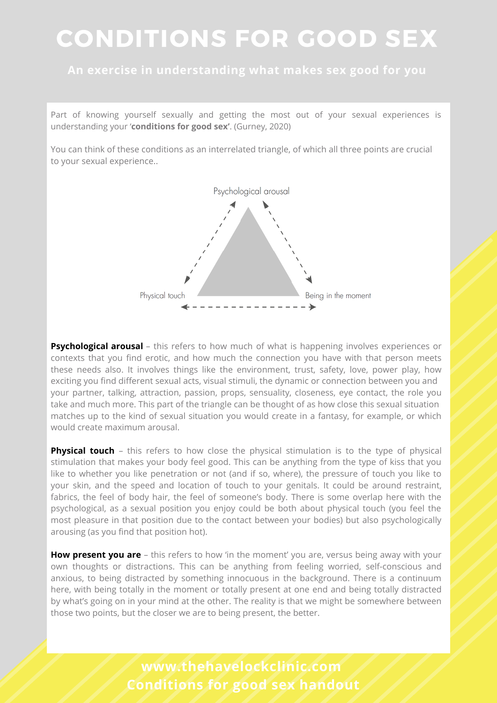#### **An exercise in understanding what makes sex good for you**

Part of knowing yourself sexually and getting the most out of your sexual experiences is understanding your '**conditions for good sex'**. (Gurney, 2020)

You can think of these conditions as an interrelated triangle, of which all three points are crucial to your sexual experience..



**Psychological arousal** – this refers to how much of what is happening involves experiences or contexts that you find erotic, and how much the connection you have with that person meets these needs also. It involves things like the environment, trust, safety, love, power play, how exciting you find different sexual acts, visual stimuli, the dynamic or connection between you and your partner, talking, attraction, passion, props, sensuality, closeness, eye contact, the role you take and much more. This part of the triangle can be thought of as how close this sexual situation matches up to the kind of sexual situation you would create in a fantasy, for example, or which would create maximum arousal.

**Physical touch** – this refers to how close the physical stimulation is to the type of physical stimulation that makes your body feel good. This can be anything from the type of kiss that you like to whether you like penetration or not (and if so, where), the pressure of touch you like to your skin, and the speed and location of touch to your genitals. It could be around restraint, fabrics, the feel of body hair, the feel of someone's body. There is some overlap here with the psychological, as a sexual position you enjoy could be both about physical touch (you feel the most pleasure in that position due to the contact between your bodies) but also psychologically arousing (as you find that position hot).

**How present you are** – this refers to how 'in the moment' you are, versus being away with your own thoughts or distractions. This can be anything from feeling worried, self-conscious and anxious, to being distracted by something innocuous in the background. There is a continuum here, with being totally in the moment or totally present at one end and being totally distracted by what's going on in your mind at the other. The reality is that we might be somewhere between those two points, but the closer we are to being present, the better.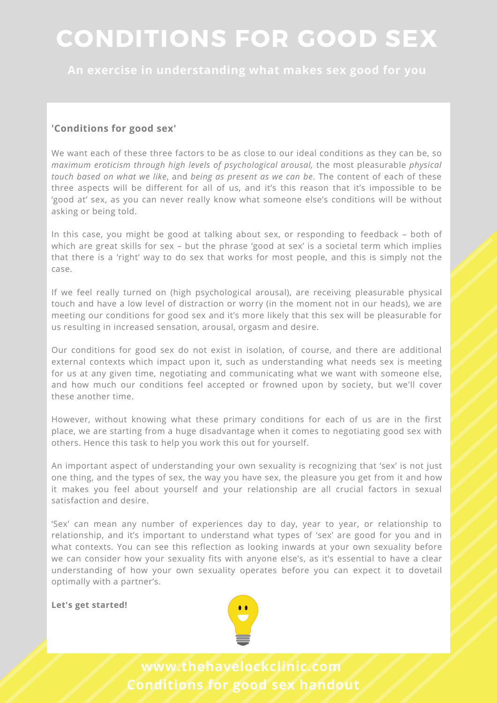**An exercise in understanding what makes sex good for you**

#### **'Conditions for good sex'**

We want each of these three factors to be as close to our ideal conditions as they can be, so *maximum eroticism through high levels of psychological arousal,* the most pleasurable *physical touch based on what we like*, and *being as present as we can be*. The content of each of these three aspects will be different for all of us, and it's this reason that it's impossible to be 'good at' sex, as you can never really know what someone else's conditions will be without asking or being told.

In this case, you might be good at talking about sex, or responding to feedback – both of which are great skills for sex – but the phrase 'good at sex' is a societal term which implies that there is a 'right' way to do sex that works for most people, and this is simply not the case.

If we feel really turned on (high psychological arousal), are receiving pleasurable physical touch and have a low level of distraction or worry (in the moment not in our heads), we are meeting our conditions for good sex and it's more likely that this sex will be pleasurable for us resulting in increased sensation, arousal, orgasm and desire.

Our conditions for good sex do not exist in isolation, of course, and there are additional external contexts which impact upon it, such as understanding what needs sex is meeting for us at any given time, negotiating and communicating what we want with someone else, and how much our conditions feel accepted or frowned upon by society, but we'll cover these another time.

However, without knowing what these primary conditions for each of us are in the first place, we are starting from a huge disadvantage when it comes to negotiating good sex with others. Hence this task to help you work this out for yourself.

An important aspect of understanding your own sexuality is recognizing that 'sex' is not just one thing, and the types of sex, the way you have sex, the pleasure you get from it and how it makes you feel about yourself and your relationship are all crucial factors in sexual satisfaction and desire.

'Sex' can mean any number of experiences day to day, year to year, or relationship to relationship, and it's important to understand what types of 'sex' are good for you and in what contexts. You can see this reflection as looking inwards at your own sexuality before we can consider how your sexuality fits with anyone else's, as it's essential to have a clear understanding of how your own sexuality operates before you can expect it to dovetail optimally with a partner's.

**Let's get started!**

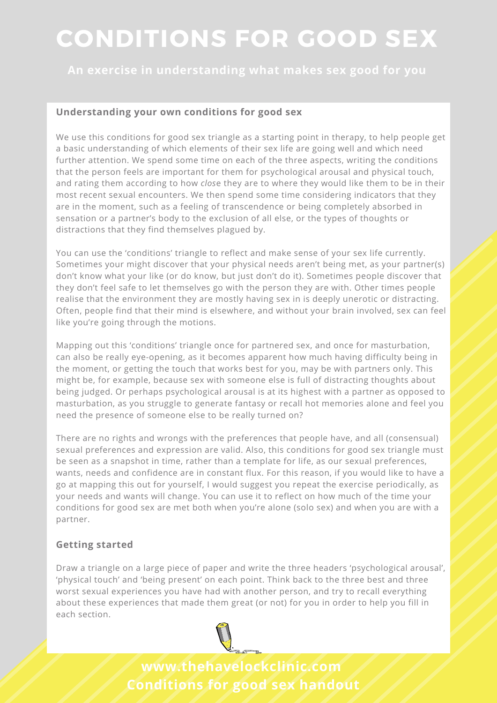**An exercise in understanding what makes sex good for you**

#### **Understanding your own conditions for good sex**

We use this conditions for good sex triangle as a starting point in therapy, to help people get a basic understanding of which elements of their sex life are going well and which need further attention. We spend some time on each of the three aspects, writing the *c*onditions that the person feels are important for them for psychological arousal and physical touch, and rating them according to how *clos*e they are to where they would like them to be in their most recent sexual encounters. We then spend some time considering indicators that they are in the moment, such as a feeling of transcendence or being completely absorbed in sensation or a partner's body to the exclusion of all else, or the types of thoughts or distractions that they find themselves plagued by.

You can use the 'conditions' triangle to reflect and make sense of your sex life currently. Sometimes your might discover that your physical needs aren't being met, as your partner(s) don't know what your like (or do know, but just don't do it). Sometimes people discover that they don't feel safe to let themselves go with the person they are with. Other times people realise that the environment they are mostly having sex in is deeply unerotic or distracting. Often, people find that their mind is elsewhere, and without your brain involved, sex can feel like you're going through the motions.

Mapping out this 'conditions' triangle once for partnered sex, and once for masturbation, can also be really eye-opening, as it becomes apparent how much having difficulty being in the moment, or getting the touch that works best for you, may be with partners only. This might be, for example, because sex with someone else is full of distracting thoughts about being judged. Or perhaps psychological arousal is at its highest with a partner as opposed to masturbation, as you struggle to generate fantasy or recall hot memories alone and feel you need the presence of someone else to be really turned on?

There are no rights and wrongs with the preferences that people have, and all (consensual) sexual preferences and expression are valid. Also, this conditions for good sex triangle must be seen as a snapshot in time, rather than a template for life, as our sexual preferences, wants, needs and confidence are in constant flux. For this reason, if you would like to have a go at mapping this out for yourself, I would suggest you repeat the exercise periodically, as your needs and wants will change. You can use it to reflect on how much of the time your conditions for good sex are met both when you're alone (solo sex) and when you are with a partner.

#### **Getting started**

Draw a triangle on a large piece of paper and write the three headers 'psychological arousal', 'physical touch' and 'being present' on each point. Think back to the three best and three worst sexual experiences you have had with another person, and try to recall everything about these experiences that made them great (or not) for you in order to help you fill in each section.

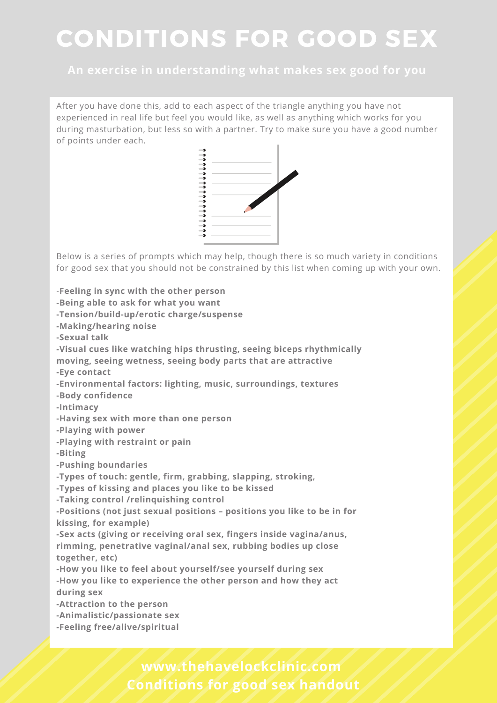#### **An exercise in understanding what makes sex good for you**

After you have done this, add to each aspect of the triangle anything you have not experienced in real life but feel you would like, as well as anything which works for you during masturbation, but less so with a partner. Try to make sure you have a good number of points under each.



Below is a series of prompts which may help, though there is so much variety in conditions for good sex that you should not be constrained by this list when coming up with your own.

-**Feeling in sync with the other person -Being able to ask for what you want -Tension/build-up/erotic charge/suspense -Making/hearing noise -Sexual talk -Visual cues like watching hips thrusting, seeing biceps rhythmically moving, seeing wetness, seeing body parts that are attractive -Eye contact -Environmental factors: lighting, music, surroundings, textures -Body confidence -Intimacy -Having sex with more than one person -Playing with power -Playing with restraint or pain -Biting -Pushing boundaries -Types of touch: gentle, firm, grabbing, slapping, stroking, -Types of kissing and places you like to be kissed -Taking control /relinquishing control -Positions (not just sexual positions – positions you like to be in for kissing, for example) -Sex acts (giving or receiving oral sex, fingers inside vagina/anus, rimming, penetrative vaginal/anal sex, rubbing bodies up close together, etc) -How you like to feel about yourself/see yourself during sex -How you like to experience the other person and how they act during sex -Attraction to the person -Animalistic/passionate sex -Feeling free/alive/spiritual**